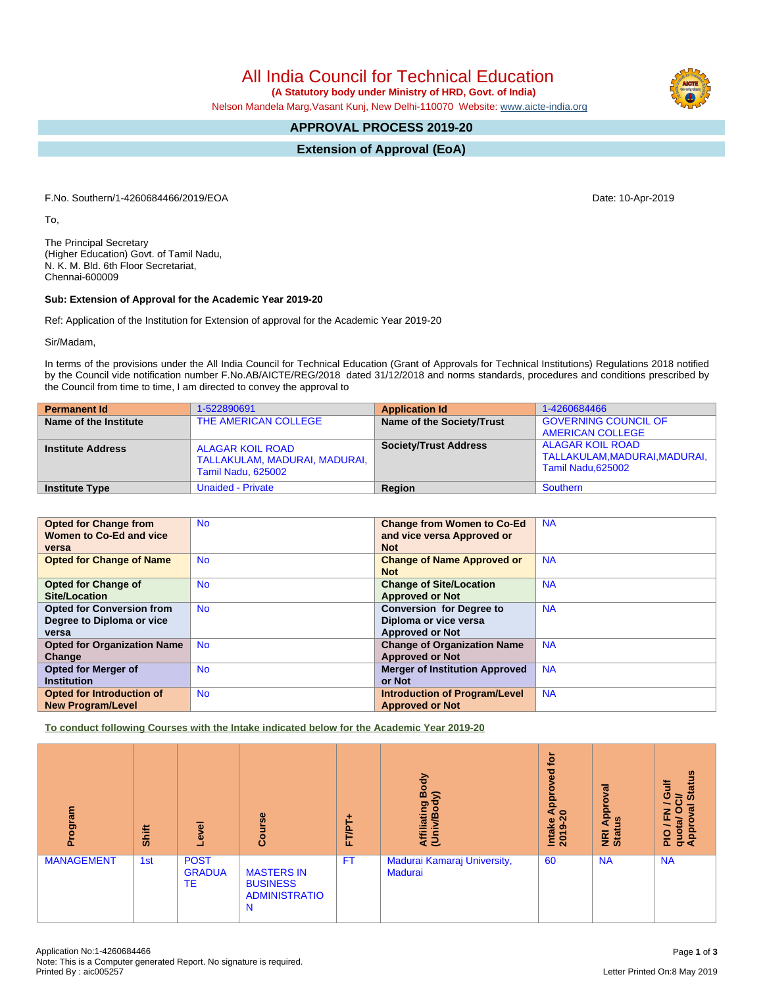All India Council for Technical Education  **(A Statutory body under Ministry of HRD, Govt. of India)**

Nelson Mandela Marg,Vasant Kunj, New Delhi-110070 Website: [www.aicte-india.org](http://www.aicte-india.org)

# **APPROVAL PROCESS 2019-20**

**Extension of Approval (EoA)**

F.No. Southern/1-4260684466/2019/EOA Date: 10-Apr-2019

To,

The Principal Secretary (Higher Education) Govt. of Tamil Nadu, N. K. M. Bld. 6th Floor Secretariat, Chennai-600009

#### **Sub: Extension of Approval for the Academic Year 2019-20**

Ref: Application of the Institution for Extension of approval for the Academic Year 2019-20

Sir/Madam,

In terms of the provisions under the All India Council for Technical Education (Grant of Approvals for Technical Institutions) Regulations 2018 notified by the Council vide notification number F.No.AB/AICTE/REG/2018 dated 31/12/2018 and norms standards, procedures and conditions prescribed by the Council from time to time, I am directed to convey the approval to

| <b>Permanent Id</b>      | 1-522890691                                                                    | <b>Application Id</b>        | 1-4260684466                                                         |
|--------------------------|--------------------------------------------------------------------------------|------------------------------|----------------------------------------------------------------------|
| Name of the Institute    | THE AMERICAN COLLEGE                                                           | Name of the Society/Trust    | <b>GOVERNING COUNCIL OF</b><br>AMERICAN COLLEGE                      |
| <b>Institute Address</b> | ALAGAR KOIL ROAD<br>TALLAKULAM, MADURAI, MADURAI,<br><b>Tamil Nadu, 625002</b> | <b>Society/Trust Address</b> | ALAGAR KOIL ROAD<br>TALLAKULAM,MADURAI,MADURAI,<br>Tamil Nadu.625002 |
| <b>Institute Type</b>    | <b>Unaided - Private</b>                                                       | Region                       | Southern                                                             |

| <b>Opted for Change from</b><br>Women to Co-Ed and vice | <b>No</b> | <b>Change from Women to Co-Ed</b><br>and vice versa Approved or | <b>NA</b> |
|---------------------------------------------------------|-----------|-----------------------------------------------------------------|-----------|
| versa                                                   |           | <b>Not</b>                                                      |           |
| <b>Opted for Change of Name</b>                         | <b>No</b> | <b>Change of Name Approved or</b><br><b>Not</b>                 | <b>NA</b> |
| <b>Opted for Change of</b>                              | <b>No</b> | <b>Change of Site/Location</b>                                  | <b>NA</b> |
| Site/Location                                           |           | <b>Approved or Not</b>                                          |           |
| <b>Opted for Conversion from</b>                        | <b>No</b> | <b>Conversion for Degree to</b>                                 | <b>NA</b> |
| Degree to Diploma or vice                               |           | Diploma or vice versa                                           |           |
| versa                                                   |           | <b>Approved or Not</b>                                          |           |
| <b>Opted for Organization Name</b>                      | <b>No</b> | <b>Change of Organization Name</b>                              | <b>NA</b> |
| Change                                                  |           | <b>Approved or Not</b>                                          |           |
| <b>Opted for Merger of</b>                              | <b>No</b> | <b>Merger of Institution Approved</b>                           | <b>NA</b> |
| <b>Institution</b>                                      |           | or Not                                                          |           |
| <b>Opted for Introduction of</b>                        | <b>No</b> | <b>Introduction of Program/Level</b>                            | <b>NA</b> |
| <b>New Program/Level</b>                                |           | <b>Approved or Not</b>                                          |           |

**To conduct following Courses with the Intake indicated below for the Academic Year 2019-20**

| Program           | Shift | Level                                     | Course                                                            | FT/PT+    | Body<br>$\widehat{\phantom{a}}$<br>Affiliating<br>(Univ/Bod <sub>)</sub> | ្នុ<br>್ಠಾ<br>о<br>윤<br>a<br>$\circ$<br><b>Intake</b><br>2019-2 | $\overline{\mathbf{B}}$<br>ē<br>윤<br><u>u</u> s<br>⋖<br>NRI<br>Statu | <b>Status</b><br>ä<br>O<br>∋<br>∽<br>ø<br>준<br>o<br>ಿ<br>quota/<br>Appro<br>$\frac{1}{2}$ |
|-------------------|-------|-------------------------------------------|-------------------------------------------------------------------|-----------|--------------------------------------------------------------------------|-----------------------------------------------------------------|----------------------------------------------------------------------|-------------------------------------------------------------------------------------------|
| <b>MANAGEMENT</b> | 1st   | <b>POST</b><br><b>GRADUA</b><br><b>TE</b> | <b>MASTERS IN</b><br><b>BUSINESS</b><br><b>ADMINISTRATIO</b><br>N | <b>FT</b> | Madurai Kamaraj University,<br>Madurai                                   | 60                                                              | <b>NA</b>                                                            | <b>NA</b>                                                                                 |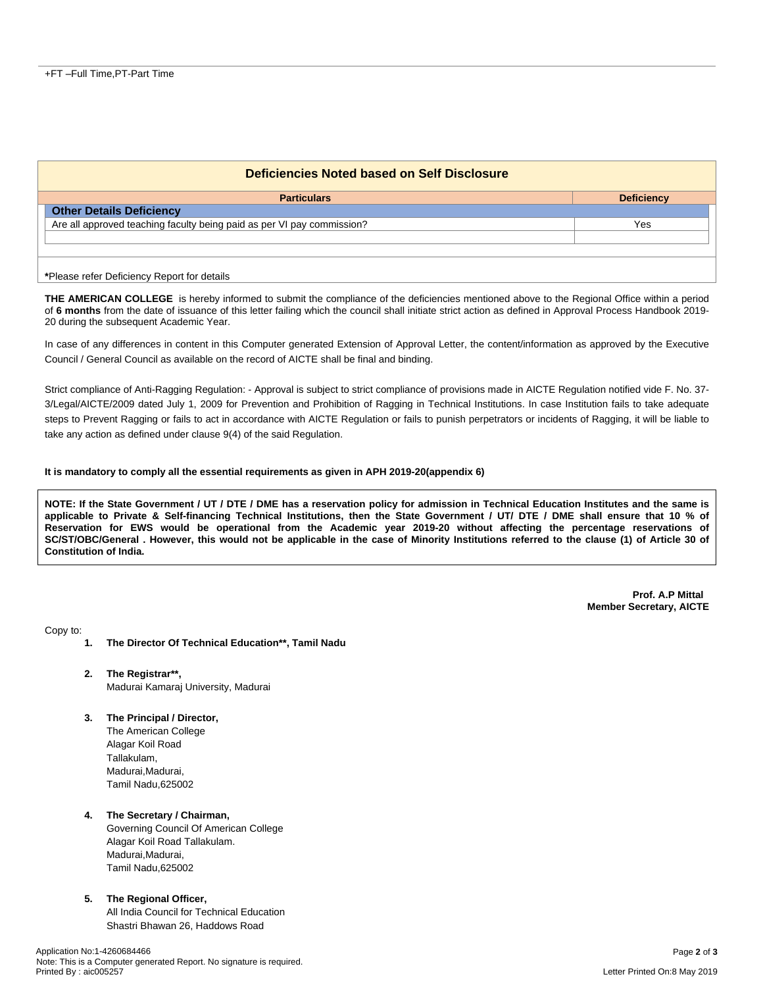| Deficiencies Noted based on Self Disclosure                            |     |                   |  |  |
|------------------------------------------------------------------------|-----|-------------------|--|--|
| <b>Particulars</b>                                                     |     | <b>Deficiency</b> |  |  |
| <b>Other Details Deficiency</b>                                        |     |                   |  |  |
| Are all approved teaching faculty being paid as per VI pay commission? | Yes |                   |  |  |
|                                                                        |     |                   |  |  |
|                                                                        |     |                   |  |  |
| *Please refer Deficiency Report for details                            |     |                   |  |  |

**THE AMERICAN COLLEGE** is hereby informed to submit the compliance of the deficiencies mentioned above to the Regional Office within a period of **6 months** from the date of issuance of this letter failing which the council shall initiate strict action as defined in Approval Process Handbook 2019- 20 during the subsequent Academic Year.

In case of any differences in content in this Computer generated Extension of Approval Letter, the content/information as approved by the Executive Council / General Council as available on the record of AICTE shall be final and binding.

Strict compliance of Anti-Ragging Regulation: - Approval is subject to strict compliance of provisions made in AICTE Regulation notified vide F. No. 37- 3/Legal/AICTE/2009 dated July 1, 2009 for Prevention and Prohibition of Ragging in Technical Institutions. In case Institution fails to take adequate steps to Prevent Ragging or fails to act in accordance with AICTE Regulation or fails to punish perpetrators or incidents of Ragging, it will be liable to take any action as defined under clause 9(4) of the said Regulation.

#### **It is mandatory to comply all the essential requirements as given in APH 2019-20(appendix 6)**

NOTE: If the State Government / UT / DTE / DME has a reservation policy for admission in Technical Education Institutes and the same is applicable to Private & Self-financing Technical Institutions, then the State Government / UT/ DTE / DME shall ensure that 10 % of Reservation for EWS would be operational from the Academic year 2019-20 without affecting the percentage reservations of SC/ST/OBC/General . However, this would not be applicable in the case of Minority Institutions referred to the clause (1) of Article 30 of **Constitution of India.**

> **Prof. A.P Mittal Member Secretary, AICTE**

Copy to:

- **1. The Director Of Technical Education\*\*, Tamil Nadu**
- **2. The Registrar\*\*,** Madurai Kamaraj University, Madurai
- **3. The Principal / Director,** The American College Alagar Koil Road

Tallakulam, Madurai, Madurai, Tamil Nadu,625002

## **4. The Secretary / Chairman,**

Governing Council Of American College Alagar Koil Road Tallakulam. Madurai, Madurai, Tamil Nadu,625002

### **5. The Regional Officer,**

All India Council for Technical Education Shastri Bhawan 26, Haddows Road